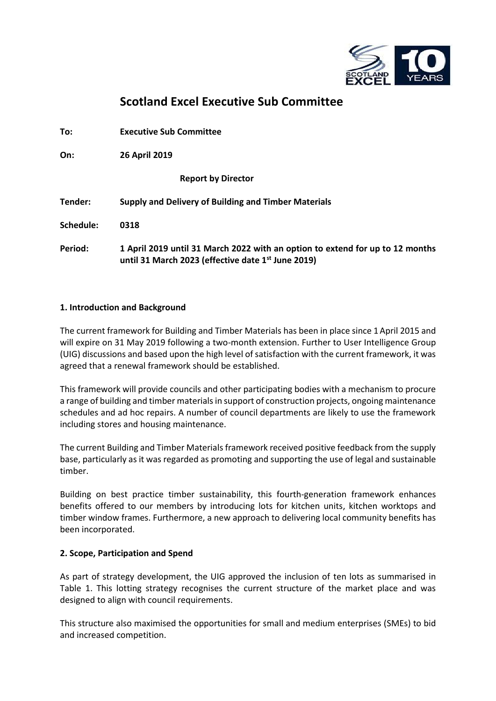

# **Scotland Excel Executive Sub Committee**

| To:       | <b>Executive Sub Committee</b>                                                                                                                  |
|-----------|-------------------------------------------------------------------------------------------------------------------------------------------------|
| On:       | 26 April 2019                                                                                                                                   |
|           | <b>Report by Director</b>                                                                                                                       |
| Tender:   | Supply and Delivery of Building and Timber Materials                                                                                            |
| Schedule: | 0318                                                                                                                                            |
| Period:   | 1 April 2019 until 31 March 2022 with an option to extend for up to 12 months<br>until 31 March 2023 (effective date 1 <sup>st</sup> June 2019) |

## **1. Introduction and Background**

The current framework for Building and Timber Materials has been in place since 1April 2015 and will expire on 31 May 2019 following a two-month extension. Further to User Intelligence Group (UIG) discussions and based upon the high level of satisfaction with the current framework, it was agreed that a renewal framework should be established.

This framework will provide councils and other participating bodies with a mechanism to procure a range of building and timber materials in support of construction projects, ongoing maintenance schedules and ad hoc repairs. A number of council departments are likely to use the framework including stores and housing maintenance.

The current Building and Timber Materials framework received positive feedback from the supply base, particularly as it was regarded as promoting and supporting the use of legal and sustainable timber.

Building on best practice timber sustainability, this fourth-generation framework enhances benefits offered to our members by introducing lots for kitchen units, kitchen worktops and timber window frames. Furthermore, a new approach to delivering local community benefits has been incorporated.

## **2. Scope, Participation and Spend**

As part of strategy development, the UIG approved the inclusion of ten lots as summarised in Table 1. This lotting strategy recognises the current structure of the market place and was designed to align with council requirements.

This structure also maximised the opportunities for small and medium enterprises (SMEs) to bid and increased competition.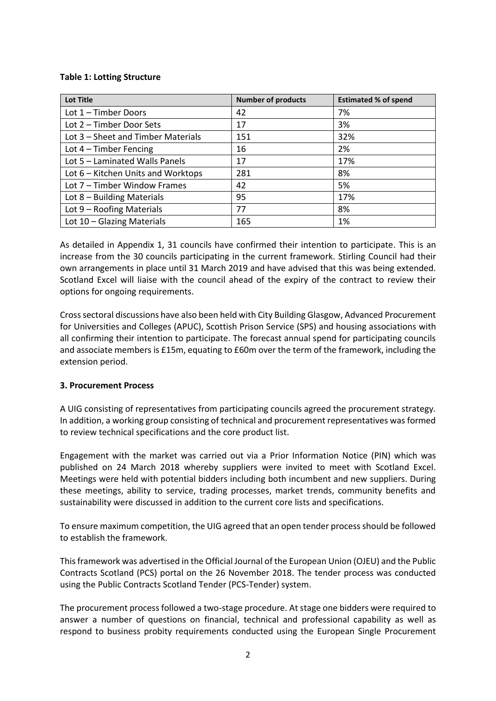#### **Table 1: Lotting Structure**

| <b>Lot Title</b>                   | <b>Number of products</b> | <b>Estimated % of spend</b> |
|------------------------------------|---------------------------|-----------------------------|
| Lot 1 - Timber Doors               | 42                        | 7%                          |
| Lot 2 – Timber Door Sets           | 17                        | 3%                          |
| Lot 3 - Sheet and Timber Materials | 151                       | 32%                         |
| Lot $4$ – Timber Fencing           | 16                        | 2%                          |
| Lot 5 - Laminated Walls Panels     | 17                        | 17%                         |
| Lot 6 – Kitchen Units and Worktops | 281                       | 8%                          |
| Lot 7 - Timber Window Frames       | 42                        | 5%                          |
| Lot $8$ – Building Materials       | 95                        | 17%                         |
| Lot $9$ – Roofing Materials        | 77                        | 8%                          |
| Lot 10 - Glazing Materials         | 165                       | 1%                          |

As detailed in Appendix 1, 31 councils have confirmed their intention to participate. This is an increase from the 30 councils participating in the current framework. Stirling Council had their own arrangements in place until 31 March 2019 and have advised that this was being extended. Scotland Excel will liaise with the council ahead of the expiry of the contract to review their options for ongoing requirements.

Cross sectoral discussions have also been held with City Building Glasgow, Advanced Procurement for Universities and Colleges (APUC), Scottish Prison Service (SPS) and housing associations with all confirming their intention to participate. The forecast annual spend for participating councils and associate members is £15m, equating to £60m over the term of the framework, including the extension period.

## **3. Procurement Process**

A UIG consisting of representatives from participating councils agreed the procurement strategy. In addition, a working group consisting of technical and procurement representatives was formed to review technical specifications and the core product list.

Engagement with the market was carried out via a Prior Information Notice (PIN) which was published on 24 March 2018 whereby suppliers were invited to meet with Scotland Excel. Meetings were held with potential bidders including both incumbent and new suppliers. During these meetings, ability to service, trading processes, market trends, community benefits and sustainability were discussed in addition to the current core lists and specifications.

To ensure maximum competition, the UIG agreed that an open tender process should be followed to establish the framework.

This framework was advertised in the Official Journal of the European Union (OJEU) and the Public Contracts Scotland (PCS) portal on the 26 November 2018. The tender process was conducted using the Public Contracts Scotland Tender (PCS-Tender) system.

The procurement process followed a two-stage procedure. At stage one bidders were required to answer a number of questions on financial, technical and professional capability as well as respond to business probity requirements conducted using the European Single Procurement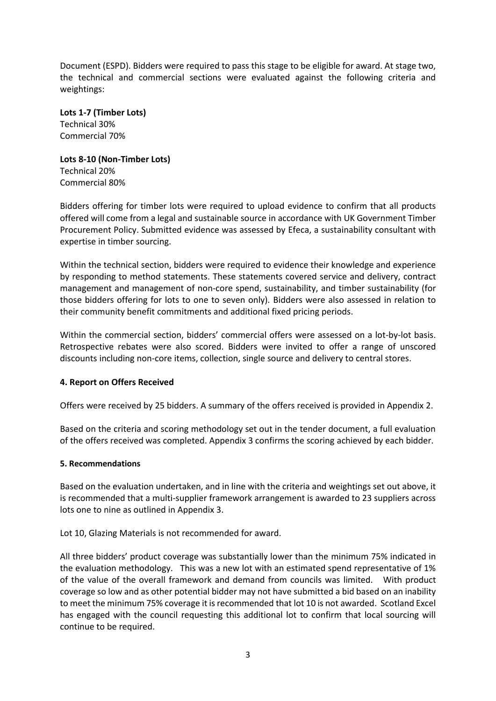Document (ESPD). Bidders were required to pass this stage to be eligible for award. At stage two, the technical and commercial sections were evaluated against the following criteria and weightings:

**Lots 1-7 (Timber Lots)**  Technical 30% Commercial 70%

**Lots 8-10 (Non-Timber Lots)**  Technical 20% Commercial 80%

Bidders offering for timber lots were required to upload evidence to confirm that all products offered will come from a legal and sustainable source in accordance with UK Government Timber Procurement Policy. Submitted evidence was assessed by Efeca, a sustainability consultant with expertise in timber sourcing.

Within the technical section, bidders were required to evidence their knowledge and experience by responding to method statements. These statements covered service and delivery, contract management and management of non-core spend, sustainability, and timber sustainability (for those bidders offering for lots to one to seven only). Bidders were also assessed in relation to their community benefit commitments and additional fixed pricing periods.

Within the commercial section, bidders' commercial offers were assessed on a lot-by-lot basis. Retrospective rebates were also scored. Bidders were invited to offer a range of unscored discounts including non-core items, collection, single source and delivery to central stores.

## **4. Report on Offers Received**

Offers were received by 25 bidders. A summary of the offers received is provided in Appendix 2.

Based on the criteria and scoring methodology set out in the tender document, a full evaluation of the offers received was completed. Appendix 3 confirms the scoring achieved by each bidder.

## **5. Recommendations**

Based on the evaluation undertaken, and in line with the criteria and weightings set out above, it is recommended that a multi-supplier framework arrangement is awarded to 23 suppliers across lots one to nine as outlined in Appendix 3.

Lot 10, Glazing Materials is not recommended for award.

All three bidders' product coverage was substantially lower than the minimum 75% indicated in the evaluation methodology. This was a new lot with an estimated spend representative of 1% of the value of the overall framework and demand from councils was limited. With product coverage so low and as other potential bidder may not have submitted a bid based on an inability to meet the minimum 75% coverage it is recommended that lot 10 is not awarded. Scotland Excel has engaged with the council requesting this additional lot to confirm that local sourcing will continue to be required.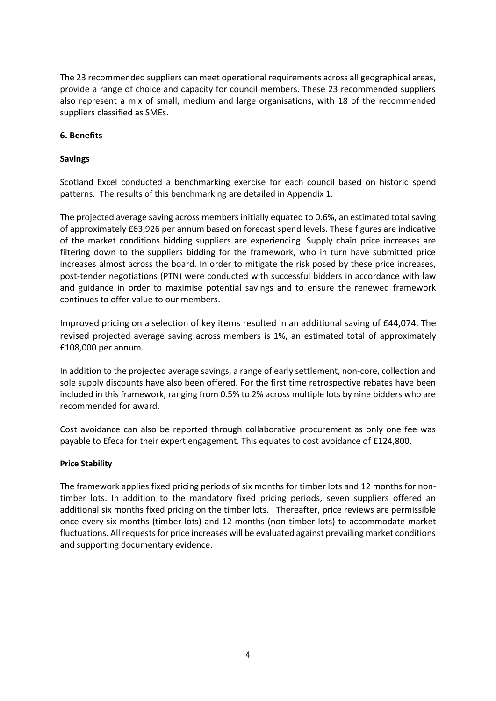The 23 recommended suppliers can meet operational requirements across all geographical areas, provide a range of choice and capacity for council members. These 23 recommended suppliers also represent a mix of small, medium and large organisations, with 18 of the recommended suppliers classified as SMEs.

## **6. Benefits**

## **Savings**

Scotland Excel conducted a benchmarking exercise for each council based on historic spend patterns. The results of this benchmarking are detailed in Appendix 1.

The projected average saving across members initially equated to 0.6%, an estimated total saving of approximately £63,926 per annum based on forecast spend levels. These figures are indicative of the market conditions bidding suppliers are experiencing. Supply chain price increases are filtering down to the suppliers bidding for the framework, who in turn have submitted price increases almost across the board. In order to mitigate the risk posed by these price increases, post-tender negotiations (PTN) were conducted with successful bidders in accordance with law and guidance in order to maximise potential savings and to ensure the renewed framework continues to offer value to our members.

Improved pricing on a selection of key items resulted in an additional saving of £44,074. The revised projected average saving across members is 1%, an estimated total of approximately £108,000 per annum.

In addition to the projected average savings, a range of early settlement, non-core, collection and sole supply discounts have also been offered. For the first time retrospective rebates have been included in this framework, ranging from 0.5% to 2% across multiple lots by nine bidders who are recommended for award.

Cost avoidance can also be reported through collaborative procurement as only one fee was payable to Efeca for their expert engagement. This equates to cost avoidance of £124,800.

## **Price Stability**

The framework applies fixed pricing periods of six months for timber lots and 12 months for nontimber lots. In addition to the mandatory fixed pricing periods, seven suppliers offered an additional six months fixed pricing on the timber lots. Thereafter, price reviews are permissible once every six months (timber lots) and 12 months (non-timber lots) to accommodate market fluctuations. All requests for price increases will be evaluated against prevailing market conditions and supporting documentary evidence.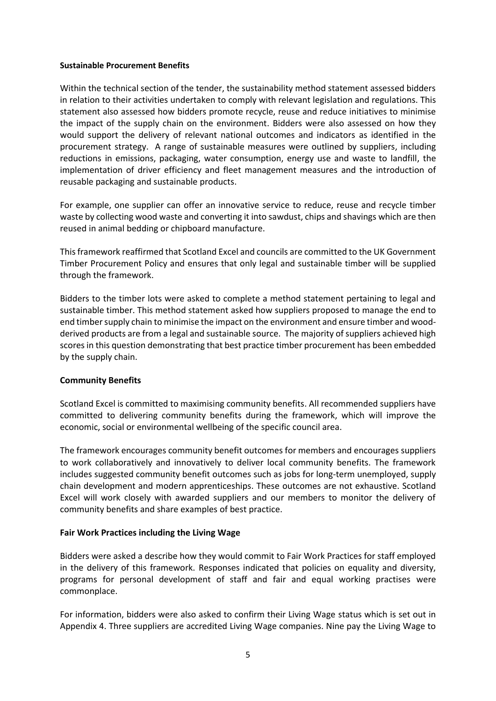#### **Sustainable Procurement Benefits**

Within the technical section of the tender, the sustainability method statement assessed bidders in relation to their activities undertaken to comply with relevant legislation and regulations. This statement also assessed how bidders promote recycle, reuse and reduce initiatives to minimise the impact of the supply chain on the environment. Bidders were also assessed on how they would support the delivery of relevant national outcomes and indicators as identified in the procurement strategy. A range of sustainable measures were outlined by suppliers, including reductions in emissions, packaging, water consumption, energy use and waste to landfill, the implementation of driver efficiency and fleet management measures and the introduction of reusable packaging and sustainable products.

For example, one supplier can offer an innovative service to reduce, reuse and recycle timber waste by collecting wood waste and converting it into sawdust, chips and shavings which are then reused in animal bedding or chipboard manufacture.

This framework reaffirmed that Scotland Excel and councils are committed to the UK Government Timber Procurement Policy and ensures that only legal and sustainable timber will be supplied through the framework.

Bidders to the timber lots were asked to complete a method statement pertaining to legal and sustainable timber. This method statement asked how suppliers proposed to manage the end to end timber supply chain to minimise the impact on the environment and ensure timber and woodderived products are from a legal and sustainable source. The majority of suppliers achieved high scores in this question demonstrating that best practice timber procurement has been embedded by the supply chain.

## **Community Benefits**

Scotland Excel is committed to maximising community benefits. All recommended suppliers have committed to delivering community benefits during the framework, which will improve the economic, social or environmental wellbeing of the specific council area.

The framework encourages community benefit outcomes for members and encourages suppliers to work collaboratively and innovatively to deliver local community benefits. The framework includes suggested community benefit outcomes such as jobs for long-term unemployed, supply chain development and modern apprenticeships. These outcomes are not exhaustive. Scotland Excel will work closely with awarded suppliers and our members to monitor the delivery of community benefits and share examples of best practice.

## **Fair Work Practices including the Living Wage**

Bidders were asked a describe how they would commit to Fair Work Practices for staff employed in the delivery of this framework. Responses indicated that policies on equality and diversity, programs for personal development of staff and fair and equal working practises were commonplace.

For information, bidders were also asked to confirm their Living Wage status which is set out in Appendix 4. Three suppliers are accredited Living Wage companies. Nine pay the Living Wage to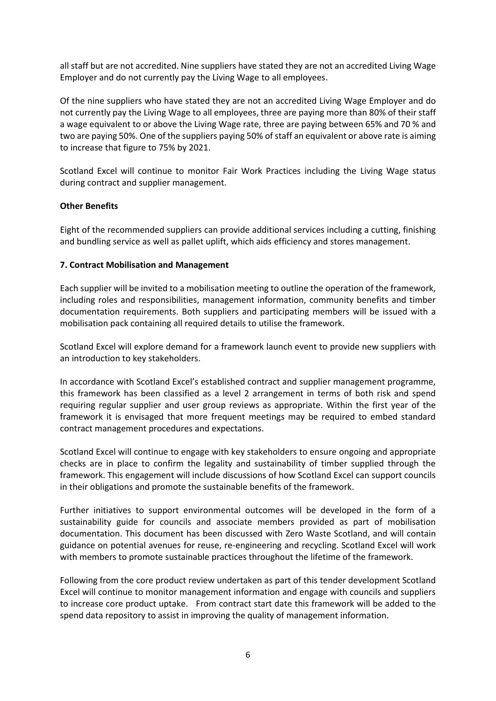all staff but are not accredited. Nine suppliers have stated they are not an accredited Living Wage Employer and do not currently pay the Living Wage to all employees.

Of the nine suppliers who have stated they are not an accredited Living Wage Employer and do not currently pay the Living Wage to all employees, three are paying more than 80% of their staff a wage equivalent to or above the Living Wage rate, three are paying between 65% and 70 % and two are paying 50%. One of the suppliers paying 50% of staff an equivalent or above rate is aiming to increase that figure to 75% by 2021.

Scotland Excel will continue to monitor Fair Work Practices including the Living Wage status during contract and supplier management.

## **Other Benefits**

Eight of the recommended suppliers can provide additional services including a cutting, finishing and bundling service as well as pallet uplift, which aids efficiency and stores management.

#### **7. Contract Mobilisation and Management**

Each supplier will be invited to a mobilisation meeting to outline the operation of the framework, including roles and responsibilities, management information, community benefits and timber documentation requirements. Both suppliers and participating members will be issued with a mobilisation pack containing all required details to utilise the framework.

Scotland Excel will explore demand for a framework launch event to provide new suppliers with an introduction to key stakeholders.

In accordance with Scotland Excel's established contract and supplier management programme, this framework has been classified as a level 2 arrangement in terms of both risk and spend requiring regular supplier and user group reviews as appropriate. Within the first year of the framework it is envisaged that more frequent meetings may be required to embed standard contract management procedures and expectations.

Scotland Excel will continue to engage with key stakeholders to ensure ongoing and appropriate checks are in place to confirm the legality and sustainability of timber supplied through the framework. This engagement will include discussions of how Scotland Excel can support councils in their obligations and promote the sustainable benefits of the framework.

Further initiatives to support environmental outcomes will be developed in the form of a sustainability guide for councils and associate members provided as part of mobilisation documentation. This document has been discussed with Zero Waste Scotland, and will contain guidance on potential avenues for reuse, re-engineering and recycling. Scotland Excel will work with members to promote sustainable practices throughout the lifetime of the framework.

Following from the core product review undertaken as part of this tender development Scotland Excel will continue to monitor management information and engage with councils and suppliers to increase core product uptake. From contract start date this framework will be added to the spend data repository to assist in improving the quality of management information.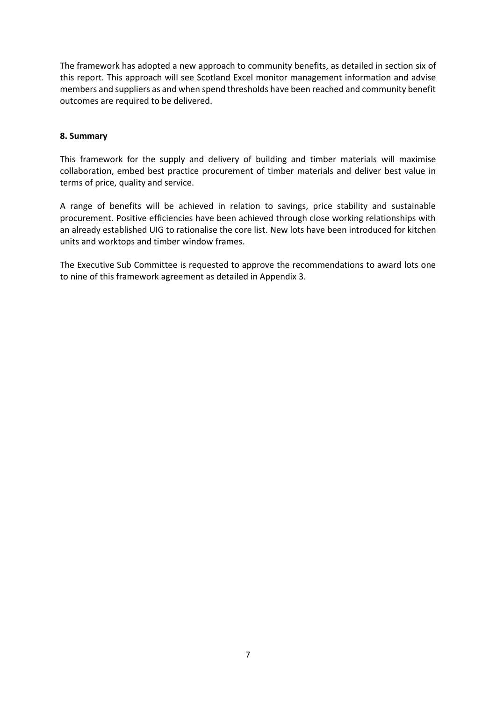The framework has adopted a new approach to community benefits, as detailed in section six of this report. This approach will see Scotland Excel monitor management information and advise members and suppliers as and when spend thresholds have been reached and community benefit outcomes are required to be delivered.

## **8. Summary**

This framework for the supply and delivery of building and timber materials will maximise collaboration, embed best practice procurement of timber materials and deliver best value in terms of price, quality and service.

A range of benefits will be achieved in relation to savings, price stability and sustainable procurement. Positive efficiencies have been achieved through close working relationships with an already established UIG to rationalise the core list. New lots have been introduced for kitchen units and worktops and timber window frames.

The Executive Sub Committee is requested to approve the recommendations to award lots one to nine of this framework agreement as detailed in Appendix 3.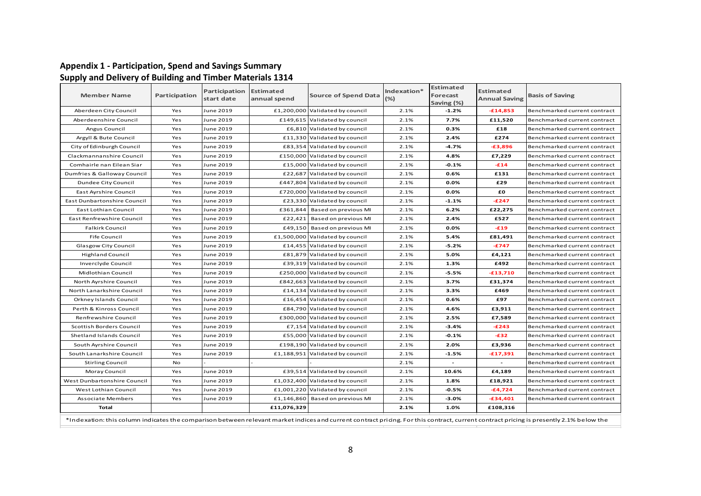#### **Appendix 1 - Participation, Spend and Savings Summary Supply and Delivery of Building and Timber Materials 1314**

| <b>Member Name</b>          | Participation | Participation<br>start date | <b>Estimated</b><br>annual spend | <b>Source of Spend Data</b>     | Indexation*<br>$(\%)$ | Estimated<br>Forecast<br>Saving (%) | <b>Estimated</b><br><b>Annual Saving</b> | <b>Basis of Saving</b>       |
|-----------------------------|---------------|-----------------------------|----------------------------------|---------------------------------|-----------------------|-------------------------------------|------------------------------------------|------------------------------|
| Aberdeen City Council       | Yes           | June 2019                   |                                  | £1,200,000 Validated by council | 2.1%                  | $-1.2%$                             | $-£14,853$                               | Benchmarked current contract |
| Aberdeenshire Council       | Yes           | June 2019                   |                                  | £149,615 Validated by council   | 2.1%                  | 7.7%                                | £11,520                                  | Benchmarked current contract |
| Angus Council               | Yes           | June 2019                   |                                  | £6,810 Validated by council     | 2.1%                  | 0.3%                                | £18                                      | Benchmarked current contract |
| Argyll & Bute Council       | Yes           | June 2019                   |                                  | £11,330 Validated by council    | 2.1%                  | 2.4%                                | £274                                     | Benchmarked current contract |
| City of Edinburgh Council   | Yes           | June 2019                   |                                  | £83,354 Validated by council    | 2.1%                  | $-4.7%$                             | $-£3,896$                                | Benchmarked current contract |
| Clackmannanshire Council    | Yes           | June 2019                   |                                  | £150,000 Validated by council   | 2.1%                  | 4.8%                                | £7,229                                   | Benchmarked current contract |
| Comhairle nan Eilean Siar   | Yes           | June 2019                   |                                  | £15,000 Validated by council    | 2.1%                  | $-0.1%$                             | $-£14$                                   | Benchmarked current contract |
| Dumfries & Galloway Council | Yes           | June 2019                   | £22,687                          | Validated by council            | 2.1%                  | 0.6%                                | £131                                     | Benchmarked current contract |
| Dundee City Council         | Yes           | June 2019                   | £447,804                         | Validated by council            | 2.1%                  | 0.0%                                | £29                                      | Benchmarked current contract |
| East Ayrshire Council       | Yes           | June 2019                   |                                  | £720,000 Validated by council   | 2.1%                  | 0.0%                                | £Ο                                       | Benchmarked current contract |
| East Dunbartonshire Council | Yes           | June 2019                   |                                  | £23,330 Validated by council    | 2.1%                  | $-1.1%$                             | $-E247$                                  | Benchmarked current contract |
| East Lothian Council        | Yes           | June 2019                   | £361,844                         | Based on previous MI            | 2.1%                  | 6.2%                                | £22,275                                  | Benchmarked current contract |
| East Renfrewshire Council   | Yes           | June 2019                   | £22,421                          | Based on previous MI            | 2.1%                  | 2.4%                                | £527                                     | Benchmarked current contract |
| <b>Falkirk Council</b>      | Yes           | June 2019                   | £49,150                          | Based on previous MI            | 2.1%                  | 0.0%                                | $-£19$                                   | Benchmarked current contract |
| <b>Fife Council</b>         | Yes           | June 2019                   |                                  | £1,500,000 Validated by council | 2.1%                  | 5.4%                                | £81,491                                  | Benchmarked current contract |
| Glasgow City Council        | Yes           | June 2019                   | £14,455                          | Validated by council            | 2.1%                  | $-5.2%$                             | $-£747$                                  | Benchmarked current contract |
| <b>Highland Council</b>     | Yes           | June 2019                   |                                  | £81,879 Validated by council    | 2.1%                  | 5.0%                                | £4,121                                   | Benchmarked current contract |
| Inverclyde Council          | Yes           | June 2019                   |                                  | £39,319 Validated by council    | 2.1%                  | 1.3%                                | £492                                     | Benchmarked current contract |
| Midlothian Council          | Yes           | June 2019                   |                                  | £250,000 Validated by council   | 2.1%                  | $-5.5%$                             | $-£13,710$                               | Benchmarked current contract |
| North Ayrshire Council      | Yes           | June 2019                   |                                  | £842,663 Validated by council   | 2.1%                  | 3.7%                                | £31,374                                  | Benchmarked current contract |
| North Lanarkshire Council   | Yes           | June 2019                   |                                  | £14,134 Validated by council    | 2.1%                  | 3.3%                                | £469                                     | Benchmarked current contract |
| Orkney Islands Council      | Yes           | June 2019                   |                                  | £16,454 Validated by council    | 2.1%                  | 0.6%                                | £97                                      | Benchmarked current contract |
| Perth & Kinross Council     | Yes           | June 2019                   |                                  | £84,790 Validated by council    | 2.1%                  | 4.6%                                | £3,911                                   | Benchmarked current contract |
| Renfrewshire Council        | Yes           | June 2019                   |                                  | £300,000 Validated by council   | 2.1%                  | 2.5%                                | £7,589                                   | Benchmarked current contract |
| Scottish Borders Council    | Yes           | June 2019                   | £7,154                           | Validated by council            | 2.1%                  | $-3.4%$                             | $-£243$                                  | Benchmarked current contract |
| Shetland Islands Council    | Yes           | June 2019                   |                                  | £55,000 Validated by council    | 2.1%                  | $-0.1%$                             | $-£32$                                   | Benchmarked current contract |
| South Ayrshire Council      | Yes           | June 2019                   |                                  | £198,190 Validated by council   | 2.1%                  | 2.0%                                | £3,936                                   | Benchmarked current contract |
| South Lanarkshire Council   | Yes           | June 2019                   | £1,188,951                       | Validated by council            | 2.1%                  | $-1.5%$                             | $-£17,391$                               | Benchmarked current contract |
| <b>Stirling Council</b>     | No            |                             |                                  |                                 | 2.1%                  |                                     |                                          | Benchmarked current contract |
| Moray Council               | Yes           | June 2019                   |                                  | £39,514 Validated by council    | 2.1%                  | 10.6%                               | £4,189                                   | Benchmarked current contract |
| West Dunbartonshire Council | Yes           | June 2019                   |                                  | £1,032,400 Validated by council | 2.1%                  | 1.8%                                | £18,921                                  | Benchmarked current contract |
| West Lothian Council        | Yes           | June 2019                   |                                  | £1,001,220 Validated by council | 2.1%                  | $-0.5%$                             | $-£4,724$                                | Benchmarked current contract |
| <b>Associate Members</b>    | Yes           | June 2019                   | £1,146,860                       | Based on previous MI            | 2.1%                  | $-3.0%$                             | $-£34,401$                               | Benchmarked current contract |
| Total                       |               |                             | £11,076,329                      |                                 | 2.1%                  | 1.0%                                | £108,316                                 |                              |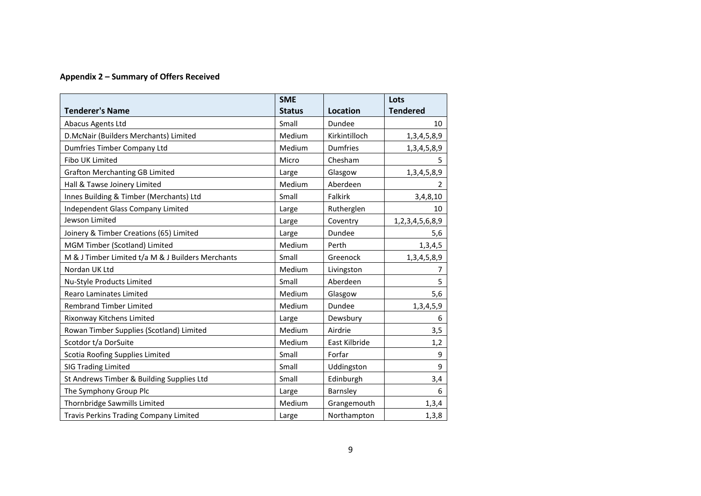## **Appendix 2 – Summary of Offers Received**

|                                                   | <b>SME</b>    |                 | Lots             |
|---------------------------------------------------|---------------|-----------------|------------------|
| <b>Tenderer's Name</b>                            | <b>Status</b> | <b>Location</b> | <b>Tendered</b>  |
| Abacus Agents Ltd                                 | Small         | Dundee          | 10               |
| D.McNair (Builders Merchants) Limited             | Medium        | Kirkintilloch   | 1, 3, 4, 5, 8, 9 |
| Dumfries Timber Company Ltd                       | Medium        | <b>Dumfries</b> | 1, 3, 4, 5, 8, 9 |
| Fibo UK Limited                                   | Micro         | Chesham         | 5.               |
| <b>Grafton Merchanting GB Limited</b>             | Large         | Glasgow         | 1, 3, 4, 5, 8, 9 |
| Hall & Tawse Joinery Limited                      | Medium        | Aberdeen        | $\overline{2}$   |
| Innes Building & Timber (Merchants) Ltd           | Small         | Falkirk         | 3,4,8,10         |
| Independent Glass Company Limited                 | Large         | Rutherglen      | 10               |
| Jewson Limited                                    | Large         | Coventry        | 1,2,3,4,5,6,8,9  |
| Joinery & Timber Creations (65) Limited           | Large         | Dundee          | 5,6              |
| MGM Timber (Scotland) Limited                     | Medium        | Perth           | 1,3,4,5          |
| M & J Timber Limited t/a M & J Builders Merchants | Small         | Greenock        | 1, 3, 4, 5, 8, 9 |
| Nordan UK Ltd                                     | Medium        | Livingston      | 7                |
| Nu-Style Products Limited                         | Small         | Aberdeen        | 5                |
| <b>Rearo Laminates Limited</b>                    | Medium        | Glasgow         | 5,6              |
| <b>Rembrand Timber Limited</b>                    | Medium        | Dundee          | 1, 3, 4, 5, 9    |
| Rixonway Kitchens Limited                         | Large         | Dewsbury        | 6                |
| Rowan Timber Supplies (Scotland) Limited          | Medium        | Airdrie         | 3,5              |
| Scotdor t/a DorSuite                              | Medium        | East Kilbride   | 1,2              |
| Scotia Roofing Supplies Limited                   | Small         | Forfar          | 9                |
| <b>SIG Trading Limited</b>                        | Small         | Uddingston      | 9                |
| St Andrews Timber & Building Supplies Ltd         | Small         | Edinburgh       | 3,4              |
| The Symphony Group Plc                            | Large         | Barnsley        | 6                |
| Thornbridge Sawmills Limited                      | Medium        | Grangemouth     | 1,3,4            |
| <b>Travis Perkins Trading Company Limited</b>     | Large         | Northampton     | 1, 3, 8          |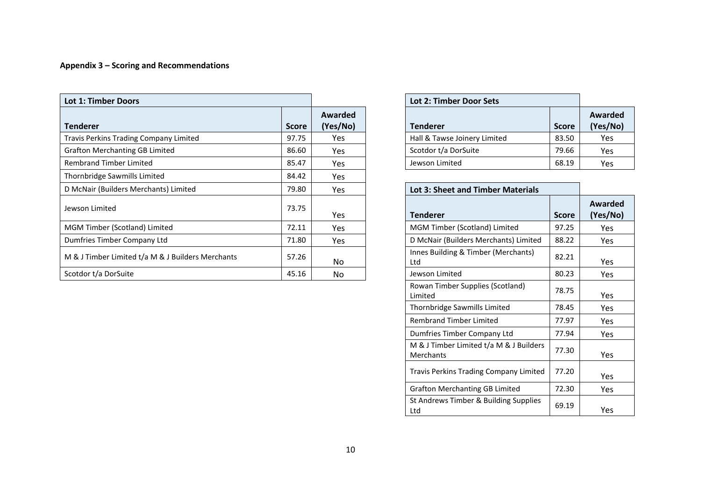## **Appendix 3 – Scoring and Recommendations**

| <b>Lot 1: Timber Doors</b>                        |              |                     | Lot 2: Timber Door Sets                             |                 |
|---------------------------------------------------|--------------|---------------------|-----------------------------------------------------|-----------------|
| <b>Tenderer</b>                                   | <b>Score</b> | Awarded<br>(Yes/No) | <b>Tenderer</b><br><b>Score</b>                     | Award<br>(Yes/l |
| Travis Perkins Trading Company Limited            | 97.75        | Yes                 | Hall & Tawse Joinery Limited<br>83.50               | Yes             |
| <b>Grafton Merchanting GB Limited</b>             | 86.60        | <b>Yes</b>          | Scotdor t/a DorSuite<br>79.66                       | Yes             |
| <b>Rembrand Timber Limited</b>                    | 85.47        | Yes                 | Jewson Limited<br>68.19                             | Yes             |
| Thornbridge Sawmills Limited                      | 84.42        | Yes                 |                                                     |                 |
| D McNair (Builders Merchants) Limited             | 79.80        | <b>Yes</b>          | <b>Lot 3: Sheet and Timber Materials</b>            |                 |
| Jewson Limited                                    | 73.75        | <b>Yes</b>          | <b>Tenderer</b><br><b>Score</b>                     | Award<br>(Yes/l |
| MGM Timber (Scotland) Limited                     | 72.11        | Yes                 | MGM Timber (Scotland) Limited<br>97.25              | Yes             |
| Dumfries Timber Company Ltd                       | 71.80        | <b>Yes</b>          | 88.22<br>D McNair (Builders Merchants) Limited      | Yes             |
| M & J Timber Limited t/a M & J Builders Merchants | 57.26        | No.                 | Innes Building & Timber (Merchants)<br>82.21<br>Ltd | Yes             |
| Scotdor t/a DorSuite                              | 45.16        | No.                 | 80.23<br>Jewson Limited                             | Yes             |

|                     | <b>Lot 2: Timber Door Sets</b> |              |                     |  |  |  |  |
|---------------------|--------------------------------|--------------|---------------------|--|--|--|--|
| Awarded<br>(Yes/No) | Tenderer                       | <b>Score</b> | Awarded<br>(Yes/No) |  |  |  |  |
| Yes                 | Hall & Tawse Joinery Limited   | 83.50        | Yes                 |  |  |  |  |
| Yes                 | Scotdor t/a DorSuite           | 79.66        | Yes                 |  |  |  |  |
| Yes                 | Jewson Limited                 | 68.19        | Yes                 |  |  |  |  |

| Yes |                 | <b>Lot 3: Sheet and Timber Materials</b> |              |                            |  |  |  |  |
|-----|-----------------|------------------------------------------|--------------|----------------------------|--|--|--|--|
| Yes | <b>Tenderer</b> |                                          | <b>Score</b> | <b>Awarded</b><br>(Yes/No) |  |  |  |  |
| Yes |                 | MGM Timber (Scotland) Limited            | 97.25        | Yes                        |  |  |  |  |
| Yes |                 | D McNair (Builders Merchants) Limited    | 88.22        | <b>Yes</b>                 |  |  |  |  |
| No  | Ltd             | Innes Building & Timber (Merchants)      | 82.21        | Yes                        |  |  |  |  |
| No  | Jewson Limited  |                                          | 80.23        | <b>Yes</b>                 |  |  |  |  |
|     | Limited         | Rowan Timber Supplies (Scotland)         | 78.75        | Yes                        |  |  |  |  |
|     |                 | Thornbridge Sawmills Limited             | 78.45        | <b>Yes</b>                 |  |  |  |  |
|     |                 | <b>Rembrand Timber Limited</b>           | 77.97        | Yes                        |  |  |  |  |
|     |                 | Dumfries Timber Company Ltd              | 77.94        | Yes                        |  |  |  |  |
|     | Merchants       | M & J Timber Limited t/a M & J Builders  | 77.30        | Yes                        |  |  |  |  |
|     |                 | Travis Perkins Trading Company Limited   | 77.20        | Yes                        |  |  |  |  |
|     |                 | <b>Grafton Merchanting GB Limited</b>    | 72.30        | Yes                        |  |  |  |  |
|     | Ltd             | St Andrews Timber & Building Supplies    | 69.19        | Yes                        |  |  |  |  |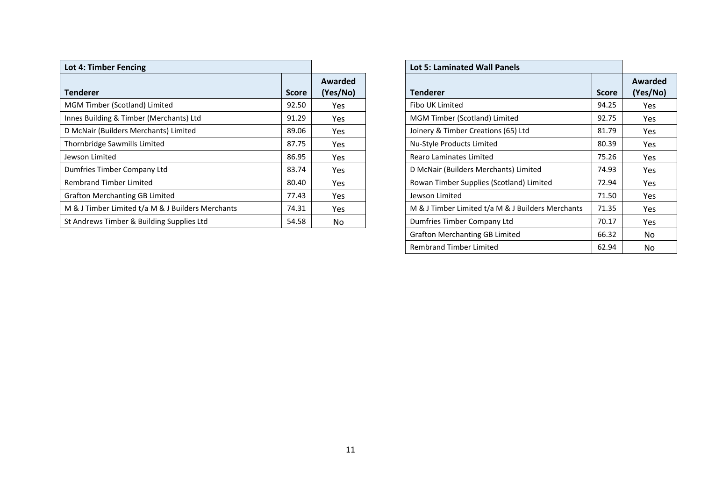| <b>Lot 4: Timber Fencing</b>                      |              |                     | <b>Lot 5: Laminated Wall Panels</b>                        |                 |
|---------------------------------------------------|--------------|---------------------|------------------------------------------------------------|-----------------|
| <b>Tenderer</b>                                   | <b>Score</b> | Awarded<br>(Yes/No) | <b>Tenderer</b><br><b>Score</b>                            | Award<br>(Yes/l |
| MGM Timber (Scotland) Limited                     | 92.50        | Yes                 | Fibo UK Limited<br>94.25                                   | Yes             |
| Innes Building & Timber (Merchants) Ltd           | 91.29        | Yes                 | MGM Timber (Scotland) Limited<br>92.75                     | Yes             |
| D McNair (Builders Merchants) Limited             | 89.06        | Yes                 | Joinery & Timber Creations (65) Ltd<br>81.79               | Yes             |
| Thornbridge Sawmills Limited                      | 87.75        | Yes                 | Nu-Style Products Limited<br>80.39                         | Yes             |
| Jewson Limited                                    | 86.95        | Yes                 | 75.26<br>Rearo Laminates Limited                           | Yes             |
| Dumfries Timber Company Ltd                       | 83.74        | Yes                 | D McNair (Builders Merchants) Limited<br>74.93             | Yes             |
| <b>Rembrand Timber Limited</b>                    | 80.40        | Yes                 | Rowan Timber Supplies (Scotland) Limited<br>72.94          | Yes             |
| <b>Grafton Merchanting GB Limited</b>             | 77.43        | Yes                 | 71.50<br>Jewson Limited                                    | Yes             |
| M & J Timber Limited t/a M & J Builders Merchants | 74.31        | Yes                 | M & J Timber Limited t/a M & J Builders Merchants<br>71.35 | Yes             |
| St Andrews Timber & Building Supplies Ltd         | 54.58        | No.                 | Dumfries Timber Company Ltd<br>70.17                       | Yes             |

|                     | <b>Lot 5: Laminated Wall Panels</b>               |              |                     |
|---------------------|---------------------------------------------------|--------------|---------------------|
| Awarded<br>(Yes/No) | <b>Tenderer</b>                                   | <b>Score</b> | Awarded<br>(Yes/No) |
| Yes                 | Fibo UK Limited                                   | 94.25        | <b>Yes</b>          |
| Yes                 | MGM Timber (Scotland) Limited                     | 92.75        | <b>Yes</b>          |
| Yes                 | Joinery & Timber Creations (65) Ltd               | 81.79        | Yes                 |
| Yes                 | Nu-Style Products Limited                         | 80.39        | <b>Yes</b>          |
| Yes                 | Rearo Laminates Limited                           | 75.26        | Yes.                |
| Yes                 | D McNair (Builders Merchants) Limited             | 74.93        | <b>Yes</b>          |
| Yes                 | Rowan Timber Supplies (Scotland) Limited          | 72.94        | <b>Yes</b>          |
| Yes                 | Jewson Limited                                    | 71.50        | <b>Yes</b>          |
| Yes                 | M & J Timber Limited t/a M & J Builders Merchants | 71.35        | <b>Yes</b>          |
| No                  | Dumfries Timber Company Ltd                       | 70.17        | <b>Yes</b>          |
|                     | <b>Grafton Merchanting GB Limited</b>             | 66.32        | No.                 |
|                     | <b>Rembrand Timber Limited</b>                    | 62.94        | No                  |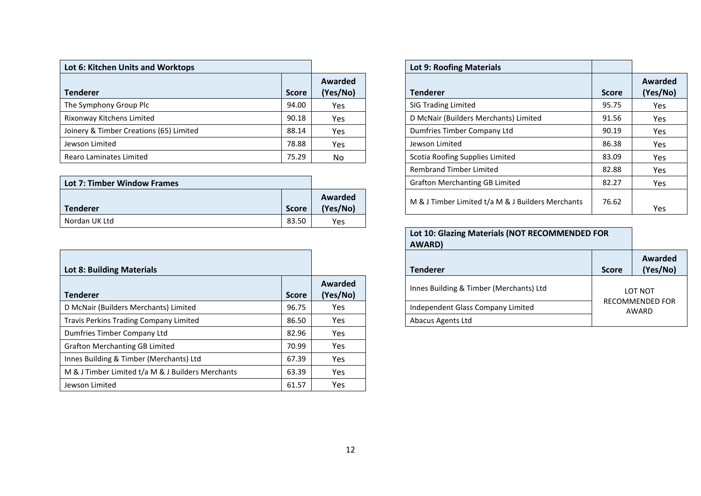| Lot 6: Kitchen Units and Worktops       |              |                     | Lot 9: Roofing Materials              |              |                 |
|-----------------------------------------|--------------|---------------------|---------------------------------------|--------------|-----------------|
| <b>Tenderer</b>                         | <b>Score</b> | Awarded<br>(Yes/No) | <b>Tenderer</b>                       | <b>Score</b> | Award<br>(Yes/I |
| The Symphony Group Plc                  | 94.00        | Yes                 | <b>SIG Trading Limited</b>            | 95.75        | Yes             |
| Rixonway Kitchens Limited               | 90.18        | Yes                 | D McNair (Builders Merchants) Limited | 91.56        | Yes             |
| Joinery & Timber Creations (65) Limited | 88.14        | Yes                 | Dumfries Timber Company Ltd           | 90.19        | Yes             |
| Jewson Limited                          | 78.88        | Yes                 | Jewson Limited                        | 86.38        | Yes             |
| Rearo Laminates Limited                 | 75.29        | No                  | Scotia Roofing Supplies Limited       | 83.09        | Yes             |

| Lot 7: Timber Window Frames |              |                     | <b>Grafton Merchanting GB Limited</b>             | 82.27 | Yes |
|-----------------------------|--------------|---------------------|---------------------------------------------------|-------|-----|
| <b>Tenderer</b>             | <b>Score</b> | Awarded<br>(Yes/No) | M & J Timber Limited t/a M & J Builders Merchants | 76.62 | Yes |
| Nordan UK Ltd               | 83.50        | Yes                 |                                                   |       |     |

| <b>Lot 8: Building Materials</b>                  |              |                     | <b>Tenderer</b>                         | <b>Score</b>               | Aw<br>(Y <sub>0</sub> ) |
|---------------------------------------------------|--------------|---------------------|-----------------------------------------|----------------------------|-------------------------|
| <b>Tenderer</b>                                   | <b>Score</b> | Awarded<br>(Yes/No) | Innes Building & Timber (Merchants) Ltd |                            | LOT NOT                 |
| D McNair (Builders Merchants) Limited             | 96.75        | <b>Yes</b>          | Independent Glass Company Limited       | <b>RECOMMENDI</b><br>AWARD |                         |
| Travis Perkins Trading Company Limited            | 86.50        | Yes                 | Abacus Agents Ltd                       |                            |                         |
| Dumfries Timber Company Ltd                       | 82.96        | Yes                 |                                         |                            |                         |
| <b>Grafton Merchanting GB Limited</b>             | 70.99        | Yes                 |                                         |                            |                         |
| Innes Building & Timber (Merchants) Ltd           | 67.39        | Yes                 |                                         |                            |                         |
| M & J Timber Limited t/a M & J Builders Merchants | 63.39        | Yes                 |                                         |                            |                         |
| Jewson Limited                                    | 61.57        | Yes                 |                                         |                            |                         |

|                     | <b>Lot 9: Roofing Materials</b>                   |              |                     |
|---------------------|---------------------------------------------------|--------------|---------------------|
| Awarded<br>(Yes/No) | <b>Tenderer</b>                                   | <b>Score</b> | Awarded<br>(Yes/No) |
| Yes                 | <b>SIG Trading Limited</b>                        | 95.75        | <b>Yes</b>          |
| <b>Yes</b>          | D McNair (Builders Merchants) Limited             | 91.56        | <b>Yes</b>          |
| Yes                 | Dumfries Timber Company Ltd                       | 90.19        | <b>Yes</b>          |
| Yes                 | Jewson Limited                                    | 86.38        | Yes                 |
| No.                 | Scotia Roofing Supplies Limited                   | 83.09        | <b>Yes</b>          |
|                     | <b>Rembrand Timber Limited</b>                    | 82.88        | <b>Yes</b>          |
|                     | <b>Grafton Merchanting GB Limited</b>             | 82.27        | <b>Yes</b>          |
| Awarded<br>(Yes/No) | M & J Timber Limited t/a M & J Builders Merchants | 76.62        | Yes                 |

| Lot 10: Glazing Materials (NOT RECOMMENDED FOR<br><b>AWARD)</b> |                          |                     |  |
|-----------------------------------------------------------------|--------------------------|---------------------|--|
| Tenderer                                                        | <b>Score</b>             | Awarded<br>(Yes/No) |  |
| Innes Building & Timber (Merchants) Ltd                         | LOT NOT                  |                     |  |
| Independent Glass Company Limited                               | RECOMMENDED FOR<br>AWARD |                     |  |
| Abacus Agents Ltd                                               |                          |                     |  |